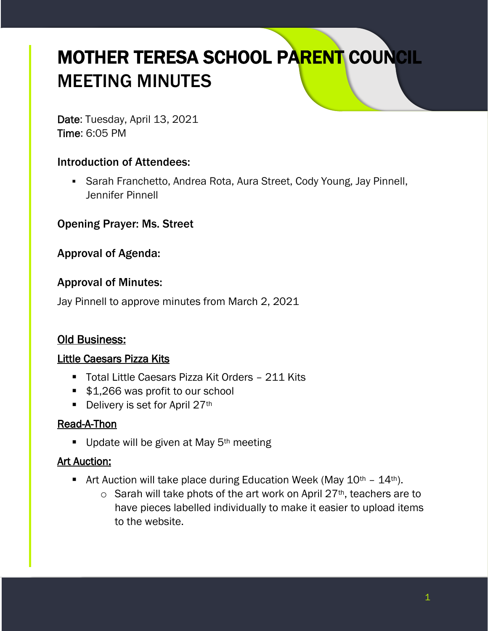# MOTHER TERESA SCHOOL PARENT COUNCIL MEETING MINUTES

Date: Tuesday, April 13, 2021 Time: 6:05 PM

## Introduction of Attendees:

■ Sarah Franchetto, Andrea Rota, Aura Street, Cody Young, Jay Pinnell, Jennifer Pinnell

Opening Prayer: Ms. Street

Approval of Agenda:

## Approval of Minutes:

Jay Pinnell to approve minutes from March 2, 2021

## Old Business:

## Little Caesars Pizza Kits

- Total Little Caesars Pizza Kit Orders 211 Kits
- \$1,266 was profit to our school
- $\blacksquare$  Delivery is set for April 27<sup>th</sup>

#### Read-A-Thon

**.** Update will be given at May  $5<sup>th</sup>$  meeting

#### Art Auction:

- **E** Art Auction will take place during Education Week (May  $10^{th} 14^{th}$ ).
	- $\circ$  Sarah will take phots of the art work on April 27<sup>th</sup>, teachers are to have pieces labelled individually to make it easier to upload items to the website.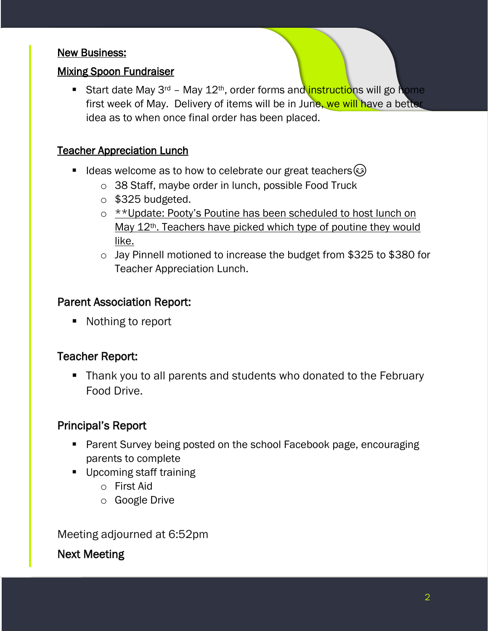#### New Business:

#### Mixing Spoon Fundraiser

**E** Start date May 3<sup>rd</sup> – May 12<sup>th</sup>, order forms and **instructions** will go home first week of May. Delivery of items will be in June, we will have a better idea as to when once final order has been placed.

#### Teacher Appreciation Lunch

- Ideas welcome as to how to celebrate our great teachers $\circled$ 
	- o 38 Staff, maybe order in lunch, possible Food Truck
	- $\circ$  \$325 budgeted.
	- o \*\*Update: Pooty's Poutine has been scheduled to host lunch on May 12<sup>th</sup>. Teachers have picked which type of poutine they would like.
	- o Jay Pinnell motioned to increase the budget from \$325 to \$380 for Teacher Appreciation Lunch.

#### Parent Association Report:

■ Nothing to report

## Teacher Report:

■ Thank you to all parents and students who donated to the February Food Drive.

## Principal's Report

- Parent Survey being posted on the school Facebook page, encouraging parents to complete
- Upcoming staff training
	- o First Aid
	- o Google Drive

Meeting adjourned at 6:52pm

Next Meeting